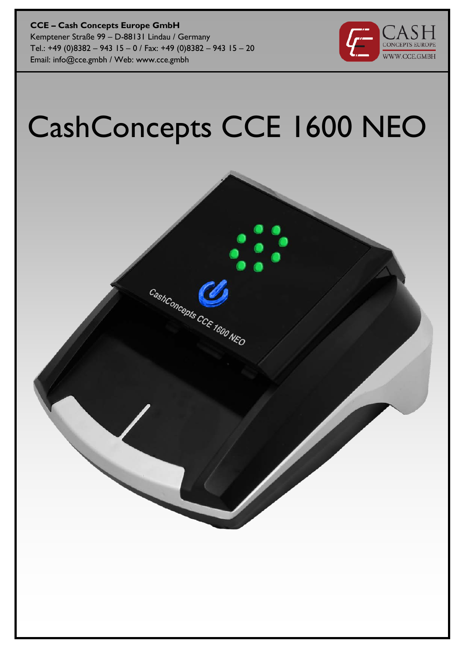**CCE – Cash Concepts Europe GmbH** Kemptener Straße 99 – D-88131 Lindau / Germany Tel.: +49 (0)8382 – 943 15 – 0 / Fax: +49 (0)8382 – 943 15 – 20 Email: info@cce.gmbh / Web: www.cce.gmbh



# CashConcepts CCE 1600 NEO

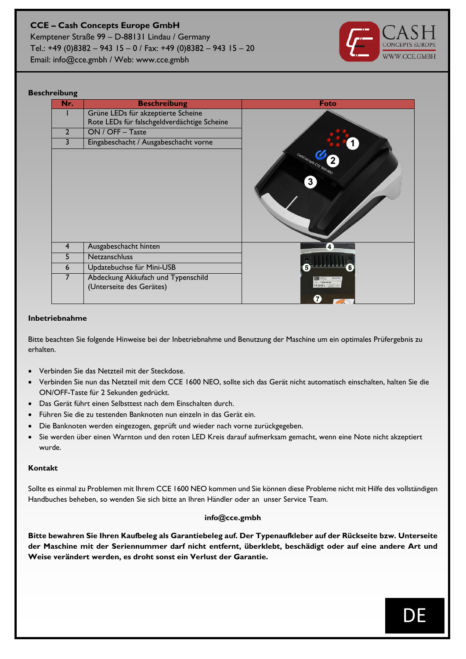Kemptener Straße 99 – D-88131 Lindau / Germany Tel.: +49 (0)8382 – 943 15 – 0 / Fax: +49 (0)8382 – 943 15 – 20 Email: info@cce.gmbh / Web: www.cce.gmbh



#### **Beschreibung**

| Nr.            | <b>Beschreibung</b>                                            | <b>Foto</b>                    |
|----------------|----------------------------------------------------------------|--------------------------------|
|                | Grüne LEDs für akzeptierte Scheine                             |                                |
|                | Rote LEDs für falschgeldverdächtige Scheine                    |                                |
| $\overline{2}$ | ON / OFF - Taste                                               |                                |
| 3              | Eingabeschacht / Ausgabeschacht vorne                          |                                |
|                |                                                                | CashConcepts CCE 1000 NCO<br>3 |
| 4              | Ausgabeschacht hinten                                          | 4                              |
| 5              | Netzanschluss                                                  |                                |
| 6              | Updatebuchse für Mini-USB                                      | 5 <sup>2</sup>                 |
| $\overline{7}$ | Abdeckung Akkufach und Typenschild<br>(Unterseite des Gerätes) | $\mathbf{7}$                   |

#### **Inbetriebnahme**

Bitte beachten Sie folgende Hinweise bei der Inbetriebnahme und Benutzung der Maschine um ein optimales Prüfergebnis zu erhalten.

- Verbinden Sie das Netzteil mit der Steckdose.
- Verbinden Sie nun das Netzteil mit dem CCE 1600 NEO, sollte sich das Gerät nicht automatisch einschalten, halten Sie die ON/OFF-Taste für 2 Sekunden gedrückt.
- Das Gerät führt einen Selbsttest nach dem Einschalten durch.
- Führen Sie die zu testenden Banknoten nun einzeln in das Gerät ein.
- Die Banknoten werden eingezogen, geprüft und wieder nach vorne zurückgegeben.
- Sie werden über einen Warnton und den roten LED Kreis darauf aufmerksam gemacht, wenn eine Note nicht akzeptiert wurde.

#### **Kontakt**

Sollte es einmal zu Problemen mit Ihrem CCE 1600 NEO kommen und Sie können diese Probleme nicht mit Hilfe des vollständigen Handbuches beheben, so wenden Sie sich bitte an Ihren Händler oder an unser Service Team.

#### **info@cce.gmbh**

**Bitte bewahren Sie Ihren Kaufbeleg als Garantiebeleg auf. Der Typenaufkleber auf der Rückseite bzw. Unterseite der Maschine mit der Seriennummer darf nicht entfernt, überklebt, beschädigt oder auf eine andere Art und Weise verändert werden, es droht sonst ein Verlust der Garantie.**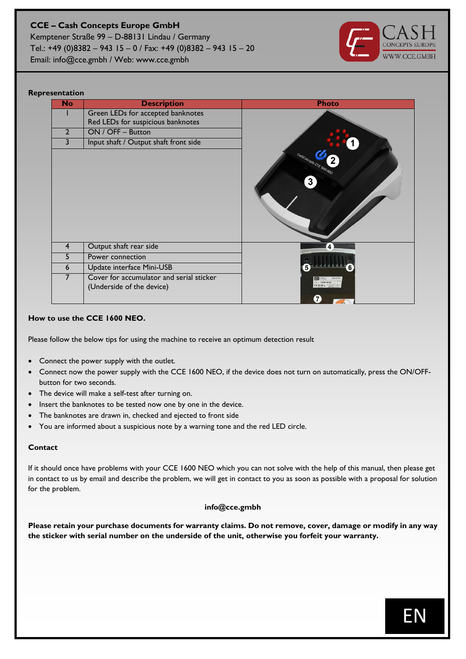Kemptener Straße 99 – D-88131 Lindau / Germany Tel.: +49 (0)8382 – 943 15 – 0 / Fax: +49 (0)8382 – 943 15 – 20 Email: info@cce.gmbh / Web: www.cce.gmbh



#### **Representation**

| <b>No</b>      | <b>Description</b>                                                    | <b>Photo</b>                   |
|----------------|-----------------------------------------------------------------------|--------------------------------|
|                | Green LEDs for accepted banknotes                                     |                                |
|                | Red LEDs for suspicious banknotes                                     |                                |
| $\overline{2}$ | ON / OFF - Button                                                     |                                |
| 3              | Input shaft / Output shaft front side                                 |                                |
|                |                                                                       | CashConcepts CCE 1000 NEO<br>3 |
| $\overline{4}$ | Output shaft rear side                                                | Δ                              |
| 5              | Power connection                                                      |                                |
| 6              | Update interface Mini-USB                                             |                                |
| 7              | Cover for accumulator and serial sticker<br>(Underside of the device) | 7                              |

#### **How to use the CCE 1600 NEO.**

Please follow the below tips for using the machine to receive an optimum detection result

- Connect the power supply with the outlet.
- Connect now the power supply with the CCE 1600 NEO, if the device does not turn on automatically, press the ON/OFFbutton for two seconds.
- The device will make a self-test after turning on.
- Insert the banknotes to be tested now one by one in the device.
- The banknotes are drawn in, checked and ejected to front side
- You are informed about a suspicious note by a warning tone and the red LED circle.

#### **Contact**

If it should once have problems with your CCE 1600 NEO which you can not solve with the help of this manual, then please get in contact to us by email and describe the problem, we will get in contact to you as soon as possible with a proposal for solution for the problem.

#### **info@cce.gmbh**

**Please retain your purchase documents for warranty claims. Do not remove, cover, damage or modify in any way the sticker with serial number on the underside of the unit, otherwise you forfeit your warranty.**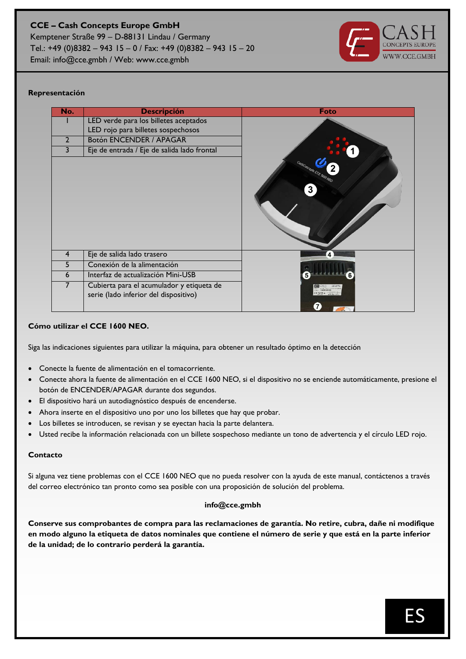Email: info@cce.gmbh / Web: www.cce.gmbh



#### **Representación**

| No.            | <b>Descripción</b>                                                                 | Foto                           |
|----------------|------------------------------------------------------------------------------------|--------------------------------|
|                | LED verde para los billetes aceptados                                              |                                |
|                | LED rojo para billetes sospechosos                                                 |                                |
| $\overline{2}$ | <b>Botón ENCENDER / APAGAR</b>                                                     |                                |
| 3              | Eje de entrada / Eje de salida lado frontal                                        |                                |
|                |                                                                                    | CashConcepts CCE 1600 NEO<br>3 |
| 4              | Eje de salida lado trasero                                                         | 4                              |
| 5              | Conexión de la alimentación                                                        |                                |
| 6              | Interfaz de actualización Mini-USB                                                 | 5                              |
|                | Cubierta para el acumulador y etiqueta de<br>serie (lado inferior del dispositivo) | $\mathbf{7}$                   |

#### **Cómo utilizar el CCE 1600 NEO.**

Siga las indicaciones siguientes para utilizar la máquina, para obtener un resultado óptimo en la detección

- Conecte la fuente de alimentación en el tomacorriente.
- Conecte ahora la fuente de alimentación en el CCE 1600 NEO, si el dispositivo no se enciende automáticamente, presione el botón de ENCENDER/APAGAR durante dos segundos.
- El dispositivo hará un autodiagnóstico después de encenderse.
- Ahora inserte en el dispositivo uno por uno los billetes que hay que probar.
- Los billetes se introducen, se revisan y se eyectan hacia la parte delantera.
- Usted recibe la información relacionada con un billete sospechoso mediante un tono de advertencia y el círculo LED rojo.

#### **Contacto**

Si alguna vez tiene problemas con el CCE 1600 NEO que no pueda resolver con la ayuda de este manual, contáctenos a través del correo electrónico tan pronto como sea posible con una proposición de solución del problema.

#### **info@cce.gmbh**

**Conserve sus comprobantes de compra para las reclamaciones de garantía. No retire, cubra, dañe ni modifique en modo alguno la etiqueta de datos nominales que contiene el número de serie y que está en la parte inferior de la unidad; de lo contrario perderá la garantía.**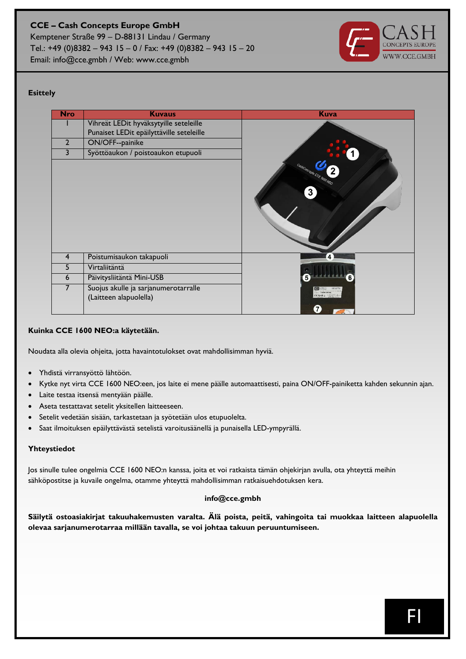Kemptener Straße 99 – D-88131 Lindau / Germany Tel.: +49 (0)8382 – 943 15 – 0 / Fax: +49 (0)8382 – 943 15 – 20 Email: info@cce.gmbh / Web: www.cce.gmbh



#### **Esittely**

| <b>Nro</b>     | <b>Kuvaus</b>                                                  | <b>Kuva</b>                                          |
|----------------|----------------------------------------------------------------|------------------------------------------------------|
|                | Vihreät LEDit hyväksytyille seteleille                         |                                                      |
|                | Punaiset LEDit epäilyttäville seteleille                       |                                                      |
| $\overline{2}$ | <b>ON/OFF--painike</b>                                         |                                                      |
| 3              | Syöttöaukon / poistoaukon etupuoli                             |                                                      |
|                |                                                                | CashConcepts CCE 1600 NEO<br>$\overline{\mathbf{3}}$ |
| 4              | Poistumisaukon takapuoli                                       | 4                                                    |
| 5              | Virtaliitäntä                                                  |                                                      |
| 6              | Päivitysliitäntä Mini-USB                                      |                                                      |
| 7              | Suojus akulle ja sarjanumerotarralle<br>(Laitteen alapuolella) | $\mathbf{7}$                                         |

#### **Kuinka CCE 1600 NEO:a käytetään.**

Noudata alla olevia ohjeita, jotta havaintotulokset ovat mahdollisimman hyviä.

- Yhdistä virransyöttö lähtöön.
- Kytke nyt virta CCE 1600 NEO:een, jos laite ei mene päälle automaattisesti, paina ON/OFF-painiketta kahden sekunnin ajan.
- Laite testaa itsensä mentyään päälle.
- Aseta testattavat setelit yksitellen laitteeseen.
- Setelit vedetään sisään, tarkastetaan ja syötetään ulos etupuolelta.
- Saat ilmoituksen epäilyttävästä setelistä varoitusäänellä ja punaisella LED-ympyrällä.

#### **Yhteystiedot**

Jos sinulle tulee ongelmia CCE 1600 NEO:n kanssa, joita et voi ratkaista tämän ohjekirjan avulla, ota yhteyttä meihin sähköpostitse ja kuvaile ongelma, otamme yhteyttä mahdollisimman ratkaisuehdotuksen kera.

#### **info@cce.gmbh**

**Säilytä ostoasiakirjat takuuhakemusten varalta. Älä poista, peitä, vahingoita tai muokkaa laitteen alapuolella olevaa sarjanumerotarraa millään tavalla, se voi johtaa takuun peruuntumiseen.**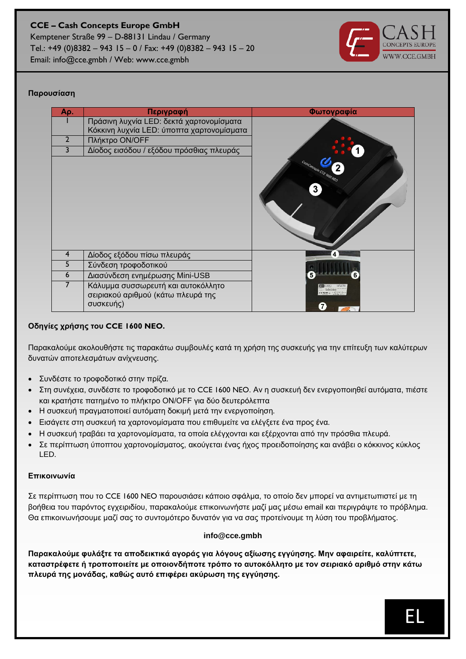

#### **Παρουσίαση**

| Аρ.            | Περιγραφή                                 | Φωτογραφία                               |
|----------------|-------------------------------------------|------------------------------------------|
|                | Πράσινη λυχνία LED: δεκτά χαρτονομίσματα  |                                          |
|                | Κόκκινη λυχνία LED: ύποπτα χαρτονομίσματα |                                          |
| $\overline{2}$ | Πλήκτρο ΟΝ/ΟΕΕ                            |                                          |
| 3              | Δίοδος εισόδου / εξόδου πρόσθιας πλευράς  |                                          |
|                |                                           | CastConcepts CCE 1600 NEO<br>$3^{\circ}$ |
| 4              | Δίοδος εξόδου πίσω πλευράς                | $\overline{\mathbf{4}}$                  |
| 5              | Σύνδεση τροφοδοτικού                      |                                          |
| 6              | Διασύνδεση ενημέρωσης Mini-USB            |                                          |
|                | Κάλυμμα συσσωρευτή και αυτοκόλλητο        |                                          |
|                | σειριακού αριθμού (κάτω πλευρά της        |                                          |
|                | συσκευής)                                 |                                          |

#### **Οδηγίες χρήσης του CCE 1600 NEO.**

Παρακαλούμε ακολουθήστε τις παρακάτω συμβουλές κατά τη χρήση της συσκευής για την επίτευξη των καλύτερων δυνατών αποτελεσμάτων ανίχνευσης.

- Συνδέστε το τροφοδοτικό στην πρίζα.
- Στη συνέχεια, συνδέστε το τροφοδοτικό με το CCE 1600 NEO. Αν η συσκευή δεν ενεργοποιηθεί αυτόματα, πιέστε και κρατήστε πατημένο το πλήκτρο ON/OFF για δύο δευτερόλεπτα
- Η συσκευή πραγματοποιεί αυτόματη δοκιμή μετά την ενεργοποίηση.
- Εισάγετε στη συσκευή τα χαρτονομίσματα που επιθυμείτε να ελέγξετε ένα προς ένα.
- Η συσκευή τραβάει τα χαρτονομίσματα, τα οποία ελέγχονται και εξέρχονται από την πρόσθια πλευρά.
- Σε περίπτωση ύποπτου χαρτονομίσματος, ακούγεται ένας ήχος προειδοποίησης και ανάβει ο κόκκινος κύκλος LED.

#### **Επικοινωνία**

Σε περίπτωση που το CCE 1600 NEO παρουσιάσει κάποιο σφάλμα, το οποίο δεν μπορεί να αντιμετωπιστεί με τη βοήθεια του παρόντος εγχειριδίου, παρακαλούμε επικοινωνήστε μαζί μας μέσω email και περιγράψτε το πρόβλημα. Θα επικοινωνήσουμε μαζί σας το συντομότερο δυνατόν για να σας προτείνουμε τη λύση του προβλήματος.

#### **info@cce.gmbh**

**Παρακαλούμε φυλάξτε τα αποδεικτικά αγοράς για λόγους αξίωσης εγγύησης. Μην αφαιρείτε, καλύπτετε, καταστρέφετε ή τροποποιείτε με οποιονδήποτε τρόπο το αυτοκόλλητο με τον σειριακό αριθμό στην κάτω πλευρά της μονάδας, καθώς αυτό επιφέρει ακύρωση της εγγύησης.**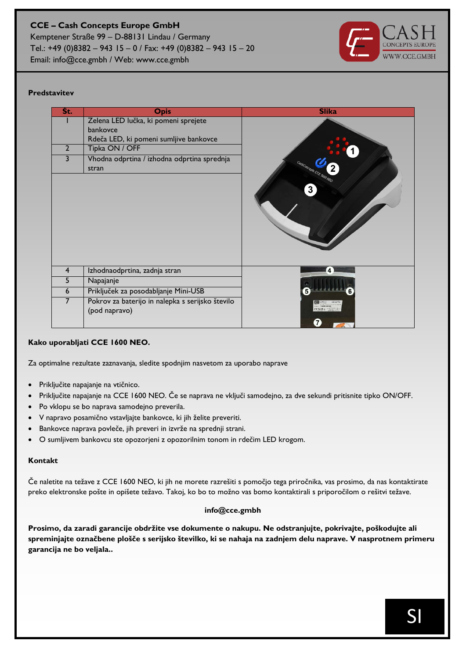#### **CCE – Cash Concepts Europe GmbH** Kemptener Straße 99 – D-88131 Lindau / Germany Tel.: +49 (0)8382 – 943 15 – 0 / Fax: +49 (0)8382 – 943 15 – 20

Email: info@cce.gmbh / Web: www.cce.gmbh



#### **Predstavitev**

| Št.            | <b>Opis</b>                                          | <b>Slika</b>              |
|----------------|------------------------------------------------------|---------------------------|
|                | Zelena LED lučka, ki pomeni sprejete                 |                           |
|                | bankovce                                             |                           |
|                | Rdeča LED, ki pomeni sumljive bankovce               |                           |
| $\overline{2}$ | Tipka ON / OFF                                       |                           |
| 3              | Vhodna odprtina / izhodna odprtina sprednja<br>stran | CashConcepts CCE 1600 NEC |
|                |                                                      | $\mathbf{3}$              |
|                |                                                      |                           |
|                |                                                      |                           |
|                |                                                      |                           |
| $\overline{4}$ | Izhodnaodprtina, zadnja stran                        | 4                         |
| 5              | Napajanje                                            |                           |
|                |                                                      |                           |
| 6              | Priključek za posodabljanje Mini-USB                 |                           |
| 7              | Pokrov za baterijo in nalepka s serijsko število     |                           |
|                | (pod napravo)                                        |                           |
|                |                                                      | $\mathbf{7}$              |

#### **Kako uporabljati CCE 1600 NEO.**

Za optimalne rezultate zaznavanja, sledite spodnjim nasvetom za uporabo naprave

- Priključite napajanje na vtičnico.
- Priključite napajanje na CCE 1600 NEO. Če se naprava ne vključi samodejno, za dve sekundi pritisnite tipko ON/OFF.
- Po vklopu se bo naprava samodejno preverila.
- V napravo posamično vstavljajte bankovce, ki jih želite preveriti.
- Bankovce naprava povleče, jih preveri in izvrže na sprednji strani.
- O sumljivem bankovcu ste opozorjeni z opozorilnim tonom in rdečim LED krogom.

#### **Kontakt**

Če naletite na težave z CCE 1600 NEO, ki jih ne morete razrešiti s pomočjo tega priročnika, vas prosimo, da nas kontaktirate preko elektronske pošte in opišete težavo. Takoj, ko bo to možno vas bomo kontaktirali s priporočilom o rešitvi težave.

#### **info@cce.gmbh**

**Prosimo, da zaradi garancije obdržite vse dokumente o nakupu. Ne odstranjujte, pokrivajte, poškodujte ali spreminjajte označbene plošče s serijsko številko, ki se nahaja na zadnjem delu naprave. V nasprotnem primeru garancija ne bo veljala..**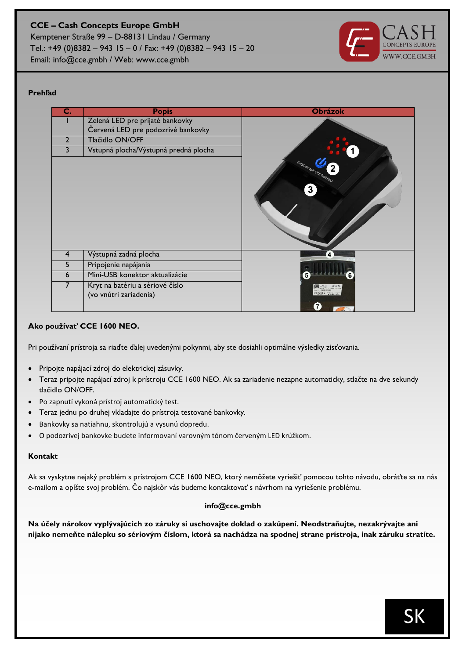Kemptener Straße 99 – D-88131 Lindau / Germany Tel.: +49 (0)8382 – 943 15 – 0 / Fax: +49 (0)8382 – 943 15 – 20 Email: info@cce.gmbh / Web: www.cce.gmbh



#### **Prehľad**

| С.             | <b>Popis</b>                                              | <b>Obrázok</b>                 |
|----------------|-----------------------------------------------------------|--------------------------------|
|                | Zelená LED pre prijaté bankovky                           |                                |
|                | Červená LED pre podozrivé bankovky                        |                                |
| $\overline{2}$ | Tlačidlo ON/OFF                                           |                                |
| 3              | Vstupná plocha/Výstupná predná plocha                     |                                |
|                |                                                           | CastConcepts CCE 1600 NEO<br>3 |
| 4              | Výstupná zadná plocha                                     | 4                              |
| 5              | Pripojenie napájania                                      |                                |
| 6              | Mini-USB konektor aktualizácie                            |                                |
| 7              | Kryt na batériu a sériové číslo<br>(vo vnútri zariadenia) | $\mathbf{7}$                   |

#### **Ako používať CCE 1600 NEO.**

Pri používaní prístroja sa riaďte ďalej uvedenými pokynmi, aby ste dosiahli optimálne výsledky zisťovania.

- Pripojte napájací zdroj do elektrickej zásuvky.
- Teraz pripojte napájací zdroj k prístroju CCE 1600 NEO. Ak sa zariadenie nezapne automaticky, stlačte na dve sekundy tlačidlo ON/OFF.
- Po zapnutí vykoná prístroj automatický test.
- Teraz jednu po druhej vkladajte do prístroja testované bankovky.
- Bankovky sa natiahnu, skontrolujú a vysunú dopredu.
- O podozrivej bankovke budete informovaní varovným tónom červeným LED krúžkom.

#### **Kontakt**

Ak sa vyskytne nejaký problém s prístrojom CCE 1600 NEO, ktorý nemôžete vyriešiť pomocou tohto návodu, obráťte sa na nás e-mailom a opíšte svoj problém. Čo najskôr vás budeme kontaktovať s návrhom na vyriešenie problému.

#### **info@cce.gmbh**

**Na účely nárokov vyplývajúcich zo záruky si uschovajte doklad o zakúpení. Neodstraňujte, nezakrývajte ani nijako nemeňte nálepku so sériovým číslom, ktorá sa nachádza na spodnej strane prístroja, inak záruku stratíte.**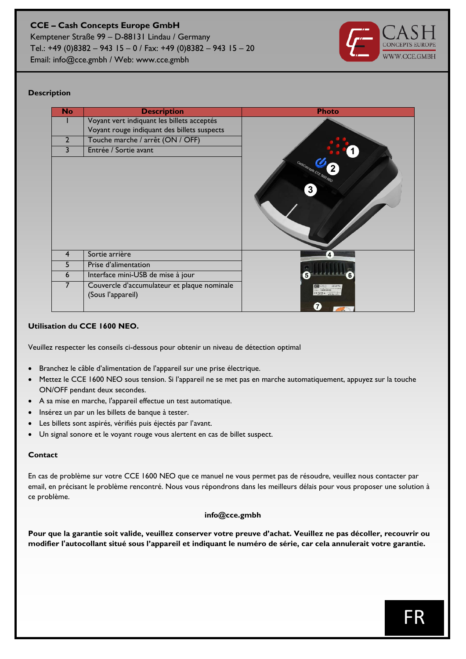Kemptener Straße 99 – D-88131 Lindau / Germany Tel.: +49 (0)8382 – 943 15 – 0 / Fax: +49 (0)8382 – 943 15 – 20 Email: info@cce.gmbh / Web: www.cce.gmbh

#### **Description**

| <b>No</b>      | <b>Description</b>                                               | <b>Photo</b>                              |
|----------------|------------------------------------------------------------------|-------------------------------------------|
|                | Voyant vert indiquant les billets acceptés                       |                                           |
|                | Voyant rouge indiquant des billets suspects                      |                                           |
| $\overline{2}$ | Touche marche / arrêt (ON / OFF)                                 |                                           |
| 3              | Entrée / Sortie avant                                            |                                           |
|                |                                                                  | CashConcepts CCE 1600 NEO<br>$\mathbf{3}$ |
| 4              | Sortie arrière                                                   | 4                                         |
| 5              | Prise d'alimentation                                             |                                           |
| 6              | Interface mini-USB de mise à jour                                | 5                                         |
| 7              | Couvercle d'accumulateur et plaque nominale<br>(Sous l'appareil) | $\mathbf{7}$                              |

#### **Utilisation du CCE 1600 NEO.**

Veuillez respecter les conseils ci-dessous pour obtenir un niveau de détection optimal

- Branchez le câble d'alimentation de l'appareil sur une prise électrique.
- Mettez le CCE 1600 NEO sous tension. Si l'appareil ne se met pas en marche automatiquement, appuyez sur la touche ON/OFF pendant deux secondes.
- A sa mise en marche, l'appareil effectue un test automatique.
- Insérez un par un les billets de banque à tester.
- Les billets sont aspirés, vérifiés puis éjectés par l'avant.
- Un signal sonore et le voyant rouge vous alertent en cas de billet suspect.

#### **Contact**

En cas de problème sur votre CCE 1600 NEO que ce manuel ne vous permet pas de résoudre, veuillez nous contacter par email, en précisant le problème rencontré. Nous vous répondrons dans les meilleurs délais pour vous proposer une solution à ce problème.

#### **info@cce.gmbh**

**Pour que la garantie soit valide, veuillez conserver votre preuve d'achat. Veuillez ne pas décoller, recouvrir ou modifier l'autocollant situé sous l'appareil et indiquant le numéro de série, car cela annulerait votre garantie.**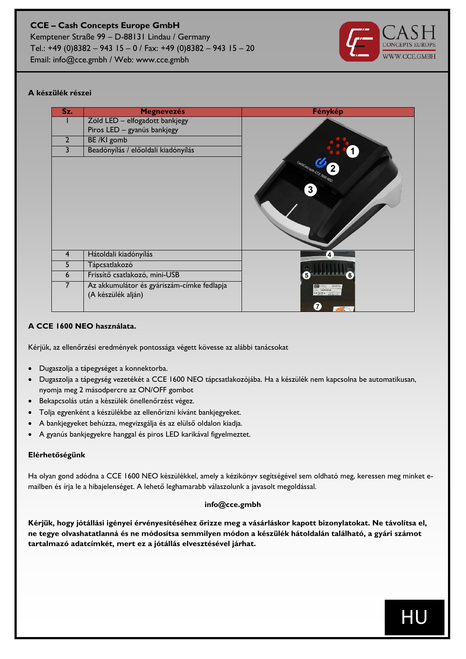

#### **A készülék részei**

| Sz.            | <b>Megnevezés</b>                          | Fénykép                   |
|----------------|--------------------------------------------|---------------------------|
|                | Zöld LED - elfogadott bankjegy             |                           |
|                | Piros LED - gyanús bankjegy                |                           |
| $\overline{2}$ | BE /KI gomb                                |                           |
| 3              | Beadónyílás / előoldali kiadónyílás        |                           |
|                |                                            |                           |
|                |                                            | CashConcepts CCE 1600 NEO |
|                |                                            |                           |
|                |                                            | $\mathbf{3}$              |
|                |                                            |                           |
|                |                                            |                           |
|                |                                            |                           |
|                |                                            |                           |
|                |                                            |                           |
| 4              | Hátoldali kiadónyílás                      | 4                         |
| 5              | Tápcsatlakozó                              |                           |
| 6              | Frissítő csatlakozó, mini-USB              | 5<br>6                    |
| 7              | Az akkumulátor és gyáriszám-címke fedlapja |                           |
|                | (A készülék alján)                         |                           |
|                |                                            | 7                         |

#### **A CCE 1600 NEO használata.**

Kérjük, az ellenőrzési eredmények pontossága végett kövesse az alábbi tanácsokat

- Dugaszolja a tápegységet a konnektorba.
- Dugaszolja a tápegység vezetékét a CCE 1600 NEO tápcsatlakozójába. Ha a készülék nem kapcsolna be automatikusan, nyomja meg 2 másodpercre az ON/OFF gombot
- Bekapcsolás után a készülék önellenőrzést végez.
- Tolja egyenként a készülékbe az ellenőrizni kívánt bankjegyeket.
- A bankjegyeket behúzza, megvizsgálja és az elülső oldalon kiadja.
- A gyanús bankjegyekre hanggal és piros LED karikával figyelmeztet.

#### **Elérhetőségünk**

Ha olyan gond adódna a CCE 1600 NEO készülékkel, amely a kézikönyv segítségével sem oldható meg, keressen meg minket emailben és írja le a hibajelenséget. A lehető leghamarabb válaszolunk a javasolt megoldással.

#### **info@cce.gmbh**

**Kérjük, hogy jótállási igényei érvényesítéséhez őrizze meg a vásárláskor kapott bizonylatokat. Ne távolítsa el, ne tegye olvashatatlanná és ne módosítsa semmilyen módon a készülék hátoldalán található, a gyári számot tartalmazó adatcímkét, mert ez a jótállás elvesztésével járhat.**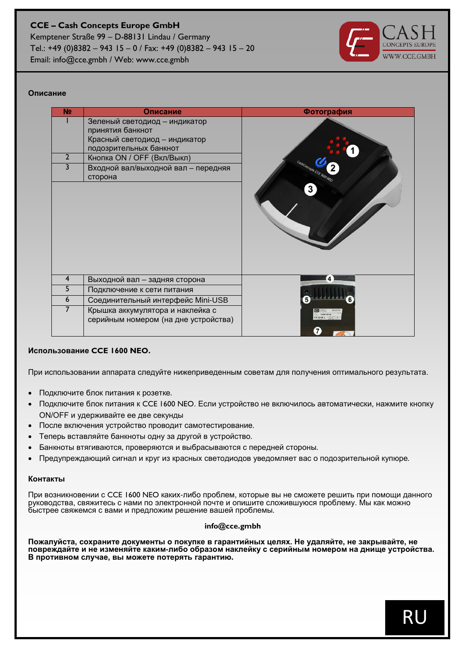#### **CCE – Cash Concepts Europe GmbH** Kemptener Straße 99 – D-88131 Lindau / Germany Tel.: +49 (0)8382 – 943 15 – 0 / Fax: +49 (0)8382 – 943 15 – 20

Email: info@cce.gmbh / Web: www.cce.gmbh



#### **Описание**

| N <sub>2</sub> | Описание                             | Фотография                |
|----------------|--------------------------------------|---------------------------|
|                | Зеленый светодиод - индикатор        |                           |
|                | принятия банкнот                     |                           |
|                | Красный светодиод - индикатор        |                           |
|                | подозрительных банкнот               |                           |
| $\overline{2}$ | Кнопка ON / OFF (Вкл/Выкл)           |                           |
| 3              | Входной вал/выходной вал - передняя  | CashConcepts CCE 1600 NCO |
|                | сторона                              |                           |
|                |                                      | 3                         |
|                |                                      |                           |
|                |                                      |                           |
|                |                                      |                           |
|                |                                      |                           |
|                |                                      |                           |
|                |                                      |                           |
|                |                                      |                           |
|                |                                      |                           |
| 4              | Выходной вал - задняя сторона        |                           |
| 5              | Подключение к сети питания           |                           |
| 6              | Соединительный интерфейс Mini-USB    |                           |
| 7              | Крышка аккумулятора и наклейка с     |                           |
|                | серийным номером (на дне устройства) |                           |
|                |                                      | $\mathbf{7}$              |

#### **Использование CCE 1600 NEO.**

При использовании аппарата следуйте нижеприведенным советам для получения оптимального результата.

- Подключите блок питания к розетке.
- Подключите блок питания к CCE 1600 NEO. Если устройство не включилось автоматически, нажмите кнопку ON/OFF и удерживайте ее две секунды
- После включения устройство проводит самотестирование.
- Теперь вставляйте банкноты одну за другой в устройство.
- Банкноты втягиваются, проверяются и выбрасываются с передней стороны.
- Предупреждающий сигнал и круг из красных светодиодов уведомляет вас о подозрительной купюре.

#### **Контакты**

При возникновении с CCE 1600 NEO каких-либо проблем, которые вы не сможете решить при помощи данного руководства, свяжитесь с нами по электронной почте и опишите сложившуюся проблему. Мы как можно быстрее свяжемся с вами и предложим решение вашей проблемы.

#### **info@cce.gmbh**

**Пожалуйста, сохраните документы о покупке в гарантийных целях. Не удаляйте, не закрывайте, не повреждайте и не изменяйте каким-либо образом наклейку с серийным номером на днище устройства. В противном случае, вы можете потерять гарантию.**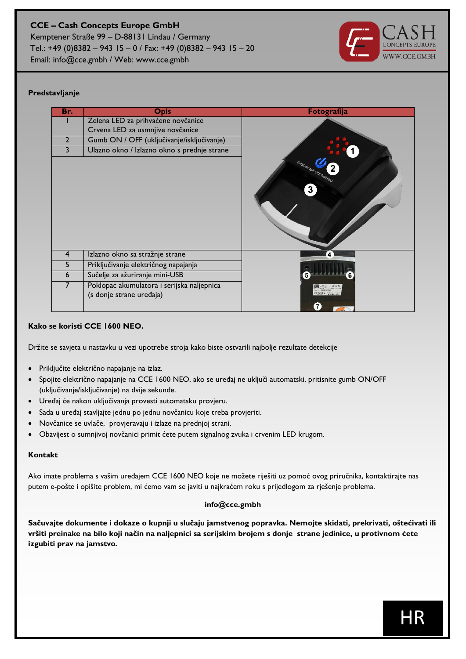Kemptener Straße 99 – D-88131 Lindau / Germany Tel.: +49 (0)8382 – 943 15 – 0 / Fax: +49 (0)8382 – 943 15 – 20 Email: info@cce.gmbh / Web: www.cce.gmbh



#### **Predstavljanje**

| Br.            | <b>Opis</b>                                                            | Fotografija                    |
|----------------|------------------------------------------------------------------------|--------------------------------|
|                | Zelena LED za prihvaćene novčanice                                     |                                |
|                | Crvena LED za usmnjive novčanice                                       |                                |
| $\overline{2}$ | Gumb ON / OFF (uključivanje/isključivanje)                             |                                |
| 3              | Ulazno okno / Izlazno okno s prednje strane                            |                                |
|                |                                                                        | CashConcepts CCE 1600 NEO<br>3 |
| $\overline{4}$ | Izlazno okno sa stražnje strane                                        | 4                              |
| 5              | Priključivanje električnog napajanja                                   |                                |
| 6              | Sučelje za ažuriranje mini-USB                                         |                                |
| 7              | Poklopac akumulatora i serijska naljepnica<br>(s donje strane uređaja) | $\mathbf{7}$                   |

#### **Kako se koristi CCE 1600 NEO.**

Držite se savjeta u nastavku u vezi upotrebe stroja kako biste ostvarili najbolje rezultate detekcije

- Priključite električno napajanje na izlaz.
- Spojite električno napajanje na CCE 1600 NEO, ako se uređaj ne uključi automatski, pritisnite gumb ON/OFF (uključivanje/isključivanje) na dvije sekunde.
- Uređaj će nakon uključivanja provesti automatsku provjeru.
- Sada u uređaj stavljajte jednu po jednu novčanicu koje treba provjeriti.
- Novčanice se uvlače, provjeravaju i izlaze na prednjoj strani.
- Obavijest o sumnjivoj novčanici primit ćete putem signalnog zvuka i crvenim LED krugom.

#### **Kontakt**

Ako imate problema s vašim uređajem CCE 1600 NEO koje ne možete riješiti uz pomoć ovog priručnika, kontaktirajte nas putem e-pošte i opišite problem, mi ćemo vam se javiti u najkraćem roku s prijedlogom za rješenje problema.

#### **info@cce.gmbh**

**Sačuvajte dokumente i dokaze o kupnji u slučaju jamstvenog popravka. Nemojte skidati, prekrivati, oštećivati ili vršiti preinake na bilo koji način na naljepnici sa serijskim brojem s donje strane jedinice, u protivnom ćete izgubiti prav na jamstvo.**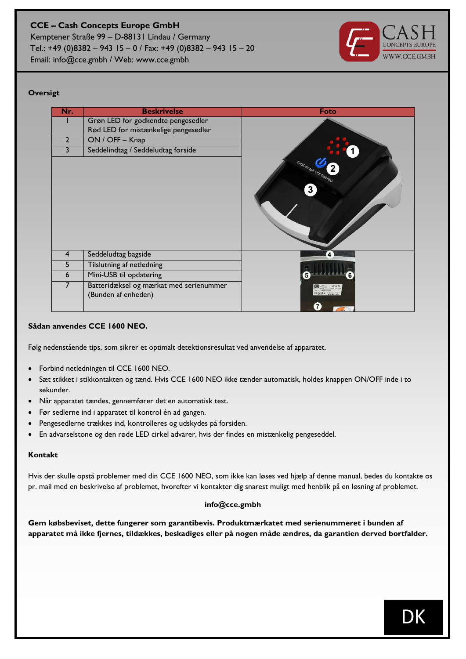Kemptener Straße 99 – D-88131 Lindau / Germany Tel.: +49 (0)8382 – 943 15 – 0 / Fax: +49 (0)8382 – 943 15 – 20 Email: info@cce.gmbh / Web: www.cce.gmbh



#### **Oversigt**

| Nr.            | <b>Beskrivelse</b>                                             | Foto                           |
|----------------|----------------------------------------------------------------|--------------------------------|
|                | Grøn LED for godkendte pengesedler                             |                                |
|                | Rød LED for mistænkelige pengesedler                           |                                |
| $\overline{2}$ | ON / OFF - Knap                                                |                                |
| 3              | Seddelindtag / Seddeludtag forside                             |                                |
|                |                                                                | CashConcepts CCE 1600 NEO<br>3 |
| 4              | Seddeludtag bagside                                            | 4                              |
| 5              | Tilslutning af netledning                                      |                                |
| 6              | Mini-USB til opdatering                                        | 5                              |
| $\overline{7}$ | Batteridæksel og mærkat med serienummer<br>(Bunden af enheden) | $\overline{7}$                 |

#### **Sådan anvendes CCE 1600 NEO.**

Følg nedenstående tips, som sikrer et optimalt detektionsresultat ved anvendelse af apparatet.

- Forbind netledningen til CCE 1600 NEO.
- Sæt stikket i stikkontakten og tænd. Hvis CCE 1600 NEO ikke tænder automatisk, holdes knappen ON/OFF inde i to sekunder.
- Når apparatet tændes, gennemfører det en automatisk test.
- Før sedlerne ind i apparatet til kontrol én ad gangen.
- Pengesedlerne trækkes ind, kontrolleres og udskydes på forsiden.
- En advarselstone og den røde LED cirkel advarer, hvis der findes en mistænkelig pengeseddel.

#### **Kontakt**

Hvis der skulle opstå problemer med din CCE 1600 NEO, som ikke kan løses ved hjælp af denne manual, bedes du kontakte os pr. mail med en beskrivelse af problemet, hvorefter vi kontakter dig snarest muligt med henblik på en løsning af problemet.

#### **info@cce.gmbh**

**Gem købsbeviset, dette fungerer som garantibevis. Produktmærkatet med serienummeret i bunden af apparatet må ikke fjernes, tildækkes, beskadiges eller på nogen måde ændres, da garantien derved bortfalder.**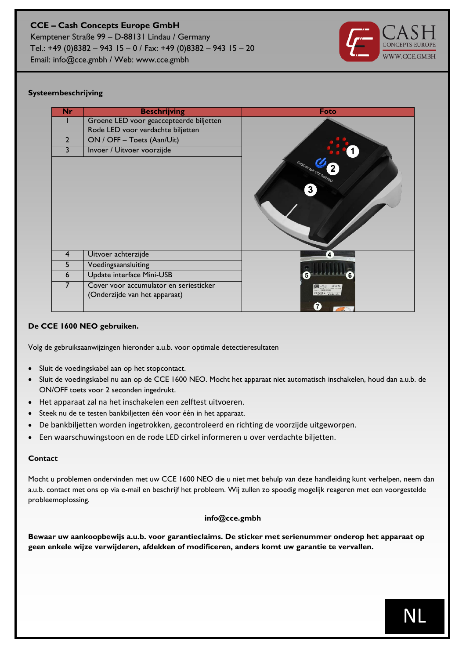Email: info@cce.gmbh / Web: www.cce.gmbh



#### **Systeembeschrijving**

| Groene LED voor geaccepteerde biljetten<br>Rode LED voor verdachte biljetten<br>ON / OFF - Toets (Aan/Uit)<br>$\overline{2}$<br>Invoer / Uitvoer voorzijde<br>3<br>CastConcepts CCE 1600 NEO<br>3 |  |
|---------------------------------------------------------------------------------------------------------------------------------------------------------------------------------------------------|--|
|                                                                                                                                                                                                   |  |
|                                                                                                                                                                                                   |  |
|                                                                                                                                                                                                   |  |
|                                                                                                                                                                                                   |  |
|                                                                                                                                                                                                   |  |
| Uitvoer achterzijde<br>$\overline{4}$<br>4                                                                                                                                                        |  |
| 5<br>Voedingsaansluiting                                                                                                                                                                          |  |
| Update interface Mini-USB<br>6<br>5                                                                                                                                                               |  |
| 7<br>Cover voor accumulator en seriesticker<br>(Onderzijde van het apparaat)<br>$\mathbf{7}$                                                                                                      |  |

#### **De CCE 1600 NEO gebruiken.**

Volg de gebruiksaanwijzingen hieronder a.u.b. voor optimale detectieresultaten

- Sluit de voedingskabel aan op het stopcontact.
- Sluit de voedingskabel nu aan op de CCE 1600 NEO. Mocht het apparaat niet automatisch inschakelen, houd dan a.u.b. de ON/OFF toets voor 2 seconden ingedrukt.
- Het apparaat zal na het inschakelen een zelftest uitvoeren.
- Steek nu de te testen bankbiljetten één voor één in het apparaat.
- De bankbiljetten worden ingetrokken, gecontroleerd en richting de voorzijde uitgeworpen.
- Een waarschuwingstoon en de rode LED cirkel informeren u over verdachte biljetten.

#### **Contact**

Mocht u problemen ondervinden met uw CCE 1600 NEO die u niet met behulp van deze handleiding kunt verhelpen, neem dan a.u.b. contact met ons op via e-mail en beschrijf het probleem. Wij zullen zo spoedig mogelijk reageren met een voorgestelde probleemoplossing.

#### **info@cce.gmbh**

**Bewaar uw aankoopbewijs a.u.b. voor garantieclaims. De sticker met serienummer onderop het apparaat op geen enkele wijze verwijderen, afdekken of modificeren, anders komt uw garantie te vervallen.**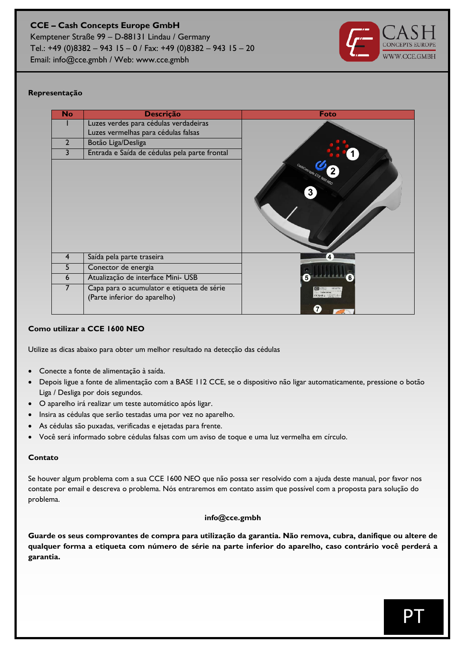

#### **Representação**

| <b>No</b>        | <b>Descrição</b>                                                           | Foto                           |
|------------------|----------------------------------------------------------------------------|--------------------------------|
|                  | Luzes verdes para cédulas verdadeiras                                      |                                |
|                  | Luzes vermelhas para cédulas falsas                                        |                                |
| $\overline{2}$   | Botão Liga/Desliga                                                         |                                |
| 3                | Entrada e Saída de cédulas pela parte frontal                              |                                |
|                  |                                                                            | CastConcepts CCE 1600 NEO<br>3 |
| $\overline{4}$   | Saída pela parte traseira                                                  | 4                              |
| 5                | Conector de energia                                                        |                                |
| $\boldsymbol{6}$ | Atualização de interface Mini- USB                                         |                                |
| 7                | Capa para o acumulator e etiqueta de série<br>(Parte inferior do aparelho) | 7                              |

#### **Como utilizar a CCE 1600 NEO**

Utilize as dicas abaixo para obter um melhor resultado na detecção das cédulas

- Conecte a fonte de alimentação à saída.
- Depois ligue a fonte de alimentação com a BASE 112 CCE, se o dispositivo não ligar automaticamente, pressione o botão Liga / Desliga por dois segundos.
- O aparelho irá realizar um teste automático após ligar.
- Insira as cédulas que serão testadas uma por vez no aparelho.
- As cédulas são puxadas, verificadas e ejetadas para frente.
- Você será informado sobre cédulas falsas com um aviso de toque e uma luz vermelha em círculo.

#### **Contato**

Se houver algum problema com a sua CCE 1600 NEO que não possa ser resolvido com a ajuda deste manual, por favor nos contate por email e descreva o problema. Nós entraremos em contato assim que possível com a proposta para solução do problema.

#### **info@cce.gmbh**

**Guarde os seus comprovantes de compra para utilização da garantia. Não remova, cubra, danifique ou altere de qualquer forma a etiqueta com número de série na parte inferior do aparelho, caso contrário você perderá a garantia.**